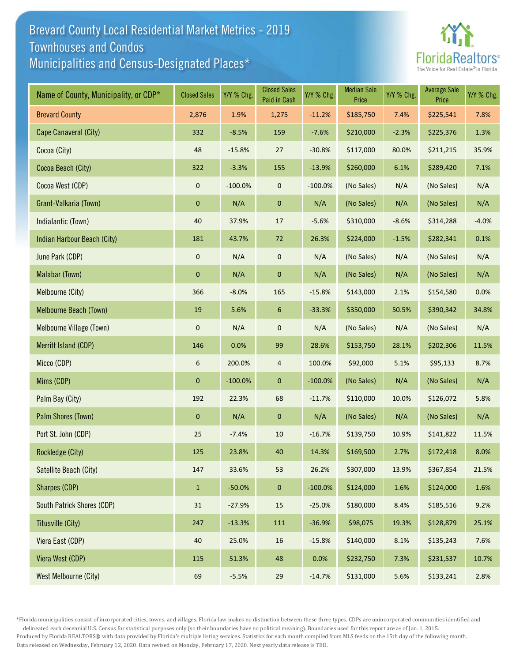## Brevard County Local Residential Market Metrics - 2019 Municipalities and Census-Designated Places\* Townhouses and Condos



| Name of County, Municipality, or CDP* | <b>Closed Sales</b> | Y/Y % Chg. | <b>Closed Sales</b><br>Paid in Cash | Y/Y % Chg. | <b>Median Sale</b><br>Price | Y/Y % Chg. | <b>Average Sale</b><br>Price | Y/Y % Chg. |
|---------------------------------------|---------------------|------------|-------------------------------------|------------|-----------------------------|------------|------------------------------|------------|
| <b>Brevard County</b>                 | 2,876               | 1.9%       | 1,275                               | $-11.2%$   | \$185,750                   | 7.4%       | \$225,541                    | 7.8%       |
| Cape Canaveral (City)                 | 332                 | $-8.5%$    | 159                                 | $-7.6%$    | \$210,000                   | $-2.3%$    | \$225,376                    | 1.3%       |
| Cocoa (City)                          | 48                  | $-15.8%$   | 27                                  | $-30.8%$   | \$117,000                   | 80.0%      | \$211,215                    | 35.9%      |
| Cocoa Beach (City)                    | 322                 | $-3.3%$    | 155                                 | $-13.9%$   | \$260,000                   | 6.1%       | \$289,420                    | 7.1%       |
| Cocoa West (CDP)                      | $\pmb{0}$           | $-100.0%$  | $\mathbf 0$                         | $-100.0%$  | (No Sales)                  | N/A        | (No Sales)                   | N/A        |
| Grant-Valkaria (Town)                 | $\pmb{0}$           | N/A        | $\pmb{0}$                           | N/A        | (No Sales)                  | N/A        | (No Sales)                   | N/A        |
| Indialantic (Town)                    | 40                  | 37.9%      | 17                                  | $-5.6%$    | \$310,000                   | $-8.6%$    | \$314,288                    | $-4.0%$    |
| Indian Harbour Beach (City)           | 181                 | 43.7%      | 72                                  | 26.3%      | \$224,000                   | $-1.5%$    | \$282,341                    | 0.1%       |
| June Park (CDP)                       | $\pmb{0}$           | N/A        | $\pmb{0}$                           | N/A        | (No Sales)                  | N/A        | (No Sales)                   | N/A        |
| Malabar (Town)                        | $\mathbf 0$         | N/A        | $\pmb{0}$                           | N/A        | (No Sales)                  | N/A        | (No Sales)                   | N/A        |
| Melbourne (City)                      | 366                 | $-8.0%$    | 165                                 | $-15.8%$   | \$143,000                   | 2.1%       | \$154,580                    | 0.0%       |
| Melbourne Beach (Town)                | 19                  | 5.6%       | 6                                   | $-33.3%$   | \$350,000                   | 50.5%      | \$390,342                    | 34.8%      |
| Melbourne Village (Town)              | $\pmb{0}$           | N/A        | $\mathsf{O}\xspace$                 | N/A        | (No Sales)                  | N/A        | (No Sales)                   | N/A        |
| Merritt Island (CDP)                  | 146                 | 0.0%       | 99                                  | 28.6%      | \$153,750                   | 28.1%      | \$202,306                    | 11.5%      |
| Micco (CDP)                           | 6                   | 200.0%     | $\overline{4}$                      | 100.0%     | \$92,000                    | 5.1%       | \$95,133                     | 8.7%       |
| Mims (CDP)                            | $\mathbf{0}$        | $-100.0%$  | $\mathbf 0$                         | $-100.0%$  | (No Sales)                  | N/A        | (No Sales)                   | N/A        |
| Palm Bay (City)                       | 192                 | 22.3%      | 68                                  | $-11.7%$   | \$110,000                   | 10.0%      | \$126,072                    | 5.8%       |
| Palm Shores (Town)                    | $\mathbf 0$         | N/A        | $\mathbf 0$                         | N/A        | (No Sales)                  | N/A        | (No Sales)                   | N/A        |
| Port St. John (CDP)                   | 25                  | $-7.4%$    | $10\,$                              | $-16.7%$   | \$139,750                   | 10.9%      | \$141,822                    | 11.5%      |
| Rockledge (City)                      | 125                 | 23.8%      | $40\,$                              | 14.3%      | \$169,500                   | 2.7%       | \$172,418                    | 8.0%       |
| Satellite Beach (City)                | 147                 | 33.6%      | 53                                  | 26.2%      | \$307,000                   | 13.9%      | \$367,854                    | 21.5%      |
| Sharpes (CDP)                         | $\mathbf 1$         | $-50.0%$   | $\mathbf 0$                         | $-100.0%$  | \$124,000                   | 1.6%       | \$124,000                    | 1.6%       |
| South Patrick Shores (CDP)            | 31                  | $-27.9%$   | 15                                  | $-25.0%$   | \$180,000                   | 8.4%       | \$185,516                    | 9.2%       |
| Titusville (City)                     | 247                 | $-13.3%$   | 111                                 | $-36.9%$   | \$98,075                    | 19.3%      | \$128,879                    | 25.1%      |
| Viera East (CDP)                      | 40                  | 25.0%      | 16                                  | $-15.8%$   | \$140,000                   | 8.1%       | \$135,243                    | 7.6%       |
| Viera West (CDP)                      | 115                 | 51.3%      | 48                                  | 0.0%       | \$232,750                   | 7.3%       | \$231,537                    | 10.7%      |
| West Melbourne (City)                 | 69                  | $-5.5%$    | $29\,$                              | $-14.7%$   | \$131,000                   | 5.6%       | \$133,241                    | 2.8%       |

\*Florida municipalities consist of incorporated cities, towns, and villages. Florida law makes no distinction between these three types. CDPs are unincorporated communities identified and

delineated each decennial U.S. Census for statistical purposes only (so their boundaries have no political meaning). Boundaries used for this report are as of Jan. 1, 2015. Produced by Florida REALTORS® with data provided by Florida's multiple listing services. Statistics for each month compiled from MLS feeds on the 15th day of the following month. Data released on Wednesday, February 12, 2020. Data revised on Monday, February 17, 2020. Next yearly data release is TBD.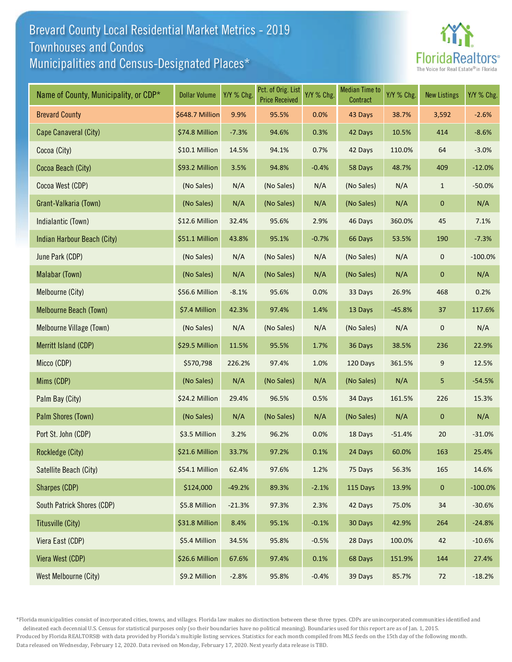## Brevard County Local Residential Market Metrics - 2019 Municipalities and Census-Designated Places\* Townhouses and Condos



| Name of County, Municipality, or CDP* | <b>Dollar Volume</b> | Y/Y % Chg. | Pct. of Orig. List<br><b>Price Received</b> | Y/Y % Chg. | <b>Median Time to</b><br>Contract | Y/Y % Chg. | <b>New Listings</b> | Y/Y % Chg. |
|---------------------------------------|----------------------|------------|---------------------------------------------|------------|-----------------------------------|------------|---------------------|------------|
| <b>Brevard County</b>                 | \$648.7 Million      | 9.9%       | 95.5%                                       | 0.0%       | 43 Days                           | 38.7%      | 3,592               | $-2.6%$    |
| Cape Canaveral (City)                 | \$74.8 Million       | $-7.3%$    | 94.6%                                       | 0.3%       | 42 Days                           | 10.5%      | 414                 | $-8.6%$    |
| Cocoa (City)                          | \$10.1 Million       | 14.5%      | 94.1%                                       | 0.7%       | 42 Days                           | 110.0%     | 64                  | $-3.0%$    |
| Cocoa Beach (City)                    | \$93.2 Million       | 3.5%       | 94.8%                                       | $-0.4%$    | 58 Days                           | 48.7%      | 409                 | $-12.0%$   |
| Cocoa West (CDP)                      | (No Sales)           | N/A        | (No Sales)                                  | N/A        | (No Sales)                        | N/A        | $\mathbf{1}$        | $-50.0%$   |
| Grant-Valkaria (Town)                 | (No Sales)           | N/A        | (No Sales)                                  | N/A        | (No Sales)                        | N/A        | 0                   | N/A        |
| Indialantic (Town)                    | \$12.6 Million       | 32.4%      | 95.6%                                       | 2.9%       | 46 Days                           | 360.0%     | 45                  | 7.1%       |
| Indian Harbour Beach (City)           | \$51.1 Million       | 43.8%      | 95.1%                                       | $-0.7%$    | 66 Days                           | 53.5%      | 190                 | $-7.3%$    |
| June Park (CDP)                       | (No Sales)           | N/A        | (No Sales)                                  | N/A        | (No Sales)                        | N/A        | $\mathbf 0$         | $-100.0%$  |
| Malabar (Town)                        | (No Sales)           | N/A        | (No Sales)                                  | N/A        | (No Sales)                        | N/A        | 0                   | N/A        |
| Melbourne (City)                      | \$56.6 Million       | $-8.1%$    | 95.6%                                       | 0.0%       | 33 Days                           | 26.9%      | 468                 | 0.2%       |
| Melbourne Beach (Town)                | \$7.4 Million        | 42.3%      | 97.4%                                       | 1.4%       | 13 Days                           | $-45.8%$   | 37                  | 117.6%     |
| Melbourne Village (Town)              | (No Sales)           | N/A        | (No Sales)                                  | N/A        | (No Sales)                        | N/A        | $\mathbf 0$         | N/A        |
| Merritt Island (CDP)                  | \$29.5 Million       | 11.5%      | 95.5%                                       | 1.7%       | 36 Days                           | 38.5%      | 236                 | 22.9%      |
| Micco (CDP)                           | \$570,798            | 226.2%     | 97.4%                                       | 1.0%       | 120 Days                          | 361.5%     | 9                   | 12.5%      |
| Mims (CDP)                            | (No Sales)           | N/A        | (No Sales)                                  | N/A        | (No Sales)                        | N/A        | 5                   | $-54.5%$   |
| Palm Bay (City)                       | \$24.2 Million       | 29.4%      | 96.5%                                       | 0.5%       | 34 Days                           | 161.5%     | 226                 | 15.3%      |
| Palm Shores (Town)                    | (No Sales)           | N/A        | (No Sales)                                  | N/A        | (No Sales)                        | N/A        | $\mathbf 0$         | N/A        |
| Port St. John (CDP)                   | \$3.5 Million        | 3.2%       | 96.2%                                       | 0.0%       | 18 Days                           | $-51.4%$   | 20                  | $-31.0%$   |
| Rockledge (City)                      | \$21.6 Million       | 33.7%      | 97.2%                                       | 0.1%       | 24 Days                           | 60.0%      | 163                 | 25.4%      |
| Satellite Beach (City)                | \$54.1 Million       | 62.4%      | 97.6%                                       | 1.2%       | 75 Days                           | 56.3%      | 165                 | 14.6%      |
| Sharpes (CDP)                         | \$124,000            | $-49.2%$   | 89.3%                                       | $-2.1%$    | 115 Days                          | 13.9%      | $\pmb{0}$           | $-100.0%$  |
| South Patrick Shores (CDP)            | \$5.8 Million        | $-21.3%$   | 97.3%                                       | 2.3%       | 42 Days                           | 75.0%      | 34                  | $-30.6%$   |
| Titusville (City)                     | \$31.8 Million       | 8.4%       | 95.1%                                       | $-0.1%$    | 30 Days                           | 42.9%      | 264                 | $-24.8%$   |
| Viera East (CDP)                      | \$5.4 Million        | 34.5%      | 95.8%                                       | $-0.5%$    | 28 Days                           | 100.0%     | 42                  | $-10.6%$   |
| Viera West (CDP)                      | \$26.6 Million       | 67.6%      | 97.4%                                       | 0.1%       | 68 Days                           | 151.9%     | 144                 | 27.4%      |
| West Melbourne (City)                 | \$9.2 Million        | $-2.8%$    | 95.8%                                       | $-0.4%$    | 39 Days                           | 85.7%      | 72                  | $-18.2%$   |

\*Florida municipalities consist of incorporated cities, towns, and villages. Florida law makes no distinction between these three types. CDPs are unincorporated communities identified and

delineated each decennial U.S. Census for statistical purposes only (so their boundaries have no political meaning). Boundaries used for this report are as of Jan. 1, 2015. Produced by Florida REALTORS® with data provided by Florida's multiple listing services. Statistics for each month compiled from MLS feeds on the 15th day of the following month. Data released on Wednesday, February 12, 2020. Data revised on Monday, February 17, 2020. Next yearly data release is TBD.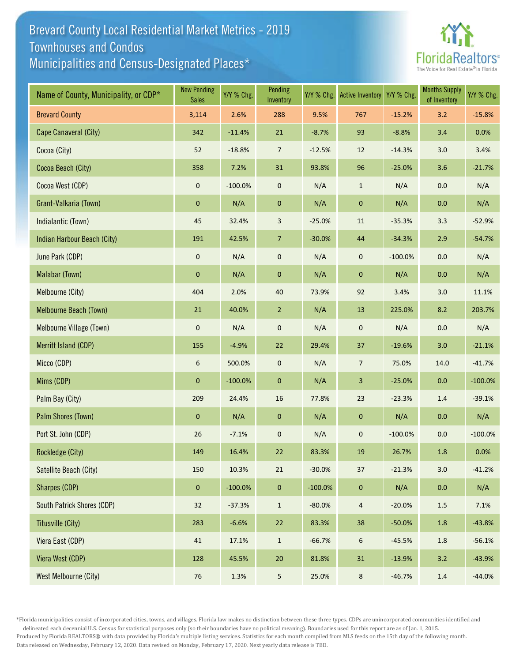## Brevard County Local Residential Market Metrics - 2019 Municipalities and Census-Designated Places\* Townhouses and Condos



| Name of County, Municipality, or CDP* | <b>New Pending</b><br><b>Sales</b> | Y/Y % Chg. | Pending<br>Inventory | Y/Y % Chg. | <b>Active Inventory</b> | Y/Y % Chg. | <b>Months Supply</b><br>of Inventory | Y/Y % Chg. |
|---------------------------------------|------------------------------------|------------|----------------------|------------|-------------------------|------------|--------------------------------------|------------|
| <b>Brevard County</b>                 | 3,114                              | 2.6%       | 288                  | 9.5%       | 767                     | $-15.2%$   | 3.2                                  | $-15.8%$   |
| Cape Canaveral (City)                 | 342                                | $-11.4%$   | $21\,$               | $-8.7%$    | 93                      | $-8.8%$    | 3.4                                  | 0.0%       |
| Cocoa (City)                          | 52                                 | $-18.8%$   | $\overline{7}$       | $-12.5%$   | 12                      | $-14.3%$   | 3.0                                  | 3.4%       |
| Cocoa Beach (City)                    | 358                                | 7.2%       | 31                   | 93.8%      | 96                      | $-25.0%$   | 3.6                                  | $-21.7%$   |
| Cocoa West (CDP)                      | 0                                  | $-100.0%$  | $\pmb{0}$            | N/A        | $\mathbf{1}$            | N/A        | 0.0                                  | N/A        |
| Grant-Valkaria (Town)                 | $\pmb{0}$                          | N/A        | $\pmb{0}$            | N/A        | $\pmb{0}$               | N/A        | $0.0\,$                              | N/A        |
| Indialantic (Town)                    | 45                                 | 32.4%      | 3                    | $-25.0%$   | 11                      | $-35.3%$   | 3.3                                  | $-52.9%$   |
| Indian Harbour Beach (City)           | 191                                | 42.5%      | $\overline{7}$       | $-30.0%$   | 44                      | $-34.3%$   | 2.9                                  | $-54.7%$   |
| June Park (CDP)                       | $\pmb{0}$                          | N/A        | $\pmb{0}$            | N/A        | $\mathsf{O}\xspace$     | $-100.0%$  | $0.0\,$                              | N/A        |
| Malabar (Town)                        | $\pmb{0}$                          | N/A        | $\pmb{0}$            | N/A        | $\pmb{0}$               | N/A        | 0.0                                  | N/A        |
| Melbourne (City)                      | 404                                | 2.0%       | 40                   | 73.9%      | 92                      | 3.4%       | 3.0                                  | 11.1%      |
| Melbourne Beach (Town)                | 21                                 | 40.0%      | $\overline{2}$       | N/A        | 13                      | 225.0%     | 8.2                                  | 203.7%     |
| Melbourne Village (Town)              | $\pmb{0}$                          | N/A        | $\pmb{0}$            | N/A        | $\mathsf{O}\xspace$     | N/A        | $0.0\,$                              | N/A        |
| Merritt Island (CDP)                  | 155                                | $-4.9%$    | 22                   | 29.4%      | 37                      | $-19.6%$   | 3.0                                  | $-21.1%$   |
| Micco (CDP)                           | 6                                  | 500.0%     | $\pmb{0}$            | N/A        | $\overline{7}$          | 75.0%      | 14.0                                 | $-41.7%$   |
| Mims (CDP)                            | $\mathbf 0$                        | $-100.0%$  | $\pmb{0}$            | N/A        | $\mathbf{3}$            | $-25.0%$   | 0.0                                  | $-100.0%$  |
| Palm Bay (City)                       | 209                                | 24.4%      | 16                   | 77.8%      | 23                      | $-23.3%$   | $1.4\,$                              | $-39.1%$   |
| Palm Shores (Town)                    | $\pmb{0}$                          | N/A        | $\mathbf 0$          | N/A        | $\mathbf{0}$            | N/A        | $0.0\,$                              | N/A        |
| Port St. John (CDP)                   | 26                                 | $-7.1%$    | 0                    | N/A        | $\mathsf{O}\xspace$     | $-100.0%$  | $0.0\,$                              | $-100.0%$  |
| Rockledge (City)                      | 149                                | 16.4%      | 22                   | 83.3%      | 19                      | 26.7%      | 1.8                                  | 0.0%       |
| Satellite Beach (City)                | 150                                | 10.3%      | 21                   | $-30.0%$   | 37                      | $-21.3%$   | 3.0                                  | $-41.2%$   |
| Sharpes (CDP)                         | $\pmb{0}$                          | $-100.0\%$ | $\pmb{0}$            | $-100.0%$  | $\mathbf 0$             | N/A        | $0.0\,$                              | N/A        |
| South Patrick Shores (CDP)            | 32                                 | $-37.3%$   | $\mathbf{1}$         | $-80.0%$   | $\overline{4}$          | $-20.0%$   | $1.5\,$                              | 7.1%       |
| Titusville (City)                     | 283                                | $-6.6%$    | 22                   | 83.3%      | 38                      | $-50.0%$   | $1.8\,$                              | $-43.8%$   |
| Viera East (CDP)                      | 41                                 | 17.1%      | $\mathbf{1}$         | $-66.7%$   | 6                       | $-45.5%$   | $1.8\,$                              | $-56.1%$   |
| Viera West (CDP)                      | 128                                | 45.5%      | $20\,$               | 81.8%      | 31                      | $-13.9%$   | 3.2                                  | $-43.9%$   |
| West Melbourne (City)                 | $76\,$                             | 1.3%       | 5 <sub>5</sub>       | 25.0%      | $\bf 8$                 | $-46.7%$   | $1.4\,$                              | $-44.0%$   |

\*Florida municipalities consist of incorporated cities, towns, and villages. Florida law makes no distinction between these three types. CDPs are unincorporated communities identified and

delineated each decennial U.S. Census for statistical purposes only (so their boundaries have no political meaning). Boundaries used for this report are as of Jan. 1, 2015. Produced by Florida REALTORS® with data provided by Florida's multiple listing services. Statistics for each month compiled from MLS feeds on the 15th day of the following month. Data released on Wednesday, February 12, 2020. Data revised on Monday, February 17, 2020. Next yearly data release is TBD.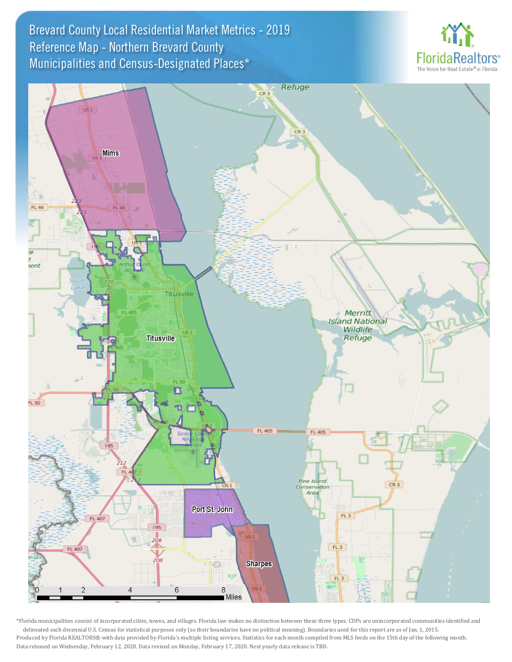Brevard County Local Residential Market Metrics - 2019 Municipalities and Census-Designated Places\* Reference Map - Northern Brevard County





\*Florida municipalities consist of incorporated cities, towns, and villages. Florida law makes no distinction between these three types. CDPs are unincorporated communities identified and delineated each decennial U.S. Census for statistical purposes only (so their boundaries have no political meaning). Boundaries used for this report are as of Jan. 1, 2015. Produced by Florida REALTORS® with data provided by Florida's multiple listing services. Statistics for each month compiled from MLS feeds on the 15th day of the following month. Data released on Wednesday, February 12, 2020. Data revised on Monday, February 17, 2020. Next yearly data release is TBD.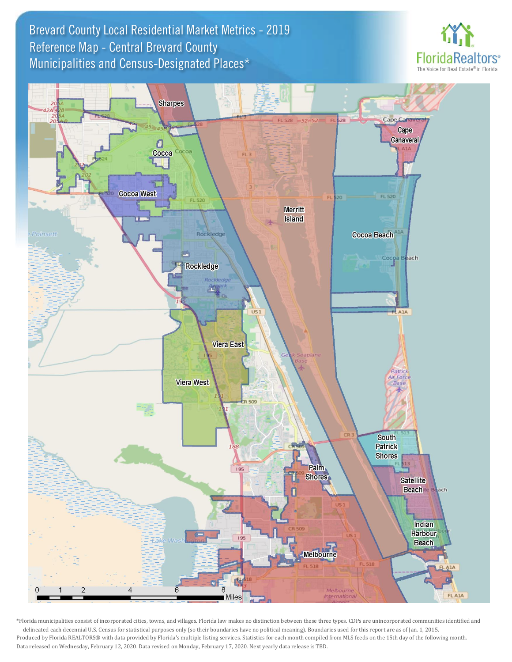Brevard County Local Residential Market Metrics - 2019 Municipalities and Census-Designated Places\* Reference Map - Central Brevard County





\*Florida municipalities consist of incorporated cities, towns, and villages. Florida law makes no distinction between these three types. CDPs are unincorporated communities identified and delineated each decennial U.S. Census for statistical purposes only (so their boundaries have no political meaning). Boundaries used for this report are as of Jan. 1, 2015. Produced by Florida REALTORS® with data provided by Florida's multiple listing services. Statistics for each month compiled from MLS feeds on the 15th day of the following month. Data released on Wednesday, February 12, 2020. Data revised on Monday, February 17, 2020. Next yearly data release is TBD.